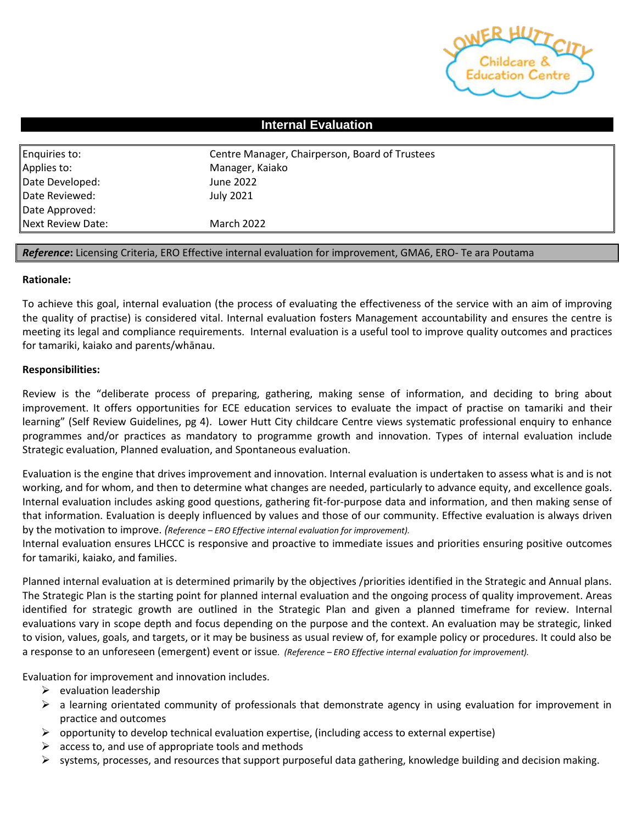

## **Internal Evaluation**

| Enquiries to:     | Centre Manager, Chairperson, Board of Trustees |  |  |
|-------------------|------------------------------------------------|--|--|
| Applies to:       | Manager, Kaiako                                |  |  |
| Date Developed:   | June 2022                                      |  |  |
| Date Reviewed:    | July 2021                                      |  |  |
| Date Approved:    |                                                |  |  |
| Next Review Date: | <b>March 2022</b>                              |  |  |

## *Reference***:** Licensing Criteria, ERO Effective internal evaluation for improvement, GMA6, ERO- Te ara Poutama

## **Rationale:**

To achieve this goal, internal evaluation (the process of evaluating the effectiveness of the service with an aim of improving the quality of practise) is considered vital. Internal evaluation fosters Management accountability and ensures the centre is meeting its legal and compliance requirements. Internal evaluation is a useful tool to improve quality outcomes and practices for tamariki, kaiako and parents/whānau.

## **Responsibilities:**

Review is the "deliberate process of preparing, gathering, making sense of information, and deciding to bring about improvement. It offers opportunities for ECE education services to evaluate the impact of practise on tamariki and their learning" (Self Review Guidelines, pg 4). Lower Hutt City childcare Centre views systematic professional enquiry to enhance programmes and/or practices as mandatory to programme growth and innovation. Types of internal evaluation include Strategic evaluation, Planned evaluation, and Spontaneous evaluation.

Evaluation is the engine that drives improvement and innovation. Internal evaluation is undertaken to assess what is and is not working, and for whom, and then to determine what changes are needed, particularly to advance equity, and excellence goals. Internal evaluation includes asking good questions, gathering fit-for-purpose data and information, and then making sense of that information. Evaluation is deeply influenced by values and those of our community. Effective evaluation is always driven by the motivation to improve. *(Reference – ERO Effective internal evaluation for improvement).*

Internal evaluation ensures LHCCC is responsive and proactive to immediate issues and priorities ensuring positive outcomes for tamariki, kaiako, and families.

Planned internal evaluation at is determined primarily by the objectives /priorities identified in the Strategic and Annual plans. The Strategic Plan is the starting point for planned internal evaluation and the ongoing process of quality improvement. Areas identified for strategic growth are outlined in the Strategic Plan and given a planned timeframe for review. Internal evaluations vary in scope depth and focus depending on the purpose and the context. An evaluation may be strategic, linked to vision, values, goals, and targets, or it may be business as usual review of, for example policy or procedures. It could also be a response to an unforeseen (emergent) event or issue*. (Reference – ERO Effective internal evaluation for improvement).* 

Evaluation for improvement and innovation includes.

- $\triangleright$  evaluation leadership
- $\triangleright$  a learning orientated community of professionals that demonstrate agency in using evaluation for improvement in practice and outcomes
- $\triangleright$  opportunity to develop technical evaluation expertise, (including access to external expertise)
- $\triangleright$  access to, and use of appropriate tools and methods
- $\triangleright$  systems, processes, and resources that support purposeful data gathering, knowledge building and decision making.